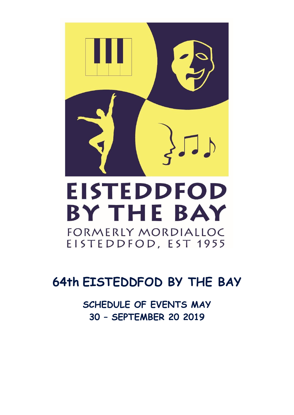

# **64th EISTEDDFOD BY THE BAY**

**SCHEDULE OF EVENTS MAY 30 – SEPTEMBER 20 2019**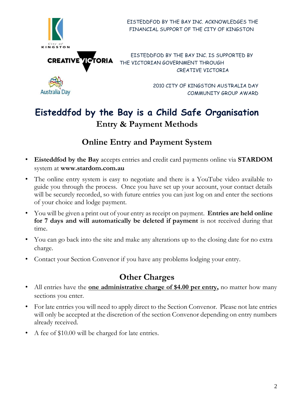

 EISTEDDFOD BY THE BAY INC. ACKNOWLEDGES THE FINANCIAL SUPPORT OF THE CITY OF KINGSTON

EISTEDDFOD BY THE BAY INC. IS SUPPORTED BY THE VICTORIAN GOVERNMENT THROUGH CREATIVE VICTORIA

> 2010 CITY OF KINGSTON AUSTRALIA DAY COMMUNITY GROUP AWARD

## **Eisteddfod by the Bay is a Child Safe Organisation Entry & Payment Methods**

## **Online Entry and Payment System**

- **Eisteddfod by the Bay** accepts entries and credit card payments online via **STARDOM**  system a[t](http://www.stardom.com.au/) **[www.stardom.com.au](http://www.stardom.com.au/)**
- The online entry system is easy to negotiate and there is a YouTube video available to guide you through the process. Once you have set up your account, your contact details will be securely recorded, so with future entries you can just log on and enter the sections of your choice and lodge payment.
- You will be given a print out of your entry as receipt on payment. **Entries are held online for 7 days and will automatically be deleted if payment** is not received during that time.
- You can go back into the site and make any alterations up to the closing date for no extra charge.
- Contact your Section Convenor if you have any problems lodging your entry.

## **Other Charges**

- All entries have the **<u>one administrative charge of \$4.00 per entry</u>,** no matter how many sections you enter.
- For late entries you will need to apply direct to the Section Convenor. Please not late entries will only be accepted at the discretion of the section Convenor depending on entry numbers already received.
- A fee of \$10.00 will be charged for late entries.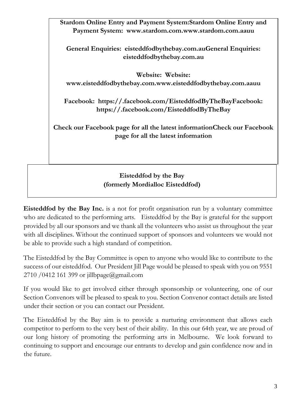**Stardom Online Entry and Payment System:Stardom Online Entry and Payment System: [www.stardom.com.www.stardom.com.aauu](http://www.stardom.com.au/)** 

**General Enquiries: eisteddfodbythebay.com.auGeneral Enquiries: eisteddfodbythebay.com.au** 

**Website: Website: [www.eisteddfodbythebay.com.www.eisteddfodbythebay.com.aauu](http://www.eisteddfodbythebay.com.au/)** 

**Facebook: https://.facebook.com/EisteddfodByTheBayFacebook: https://.facebook.com/EisteddfodByTheBay** 

**Check our Facebook page for all the latest informationCheck our Facebook page for all the latest information** 

## **Eisteddfod by the Bay (formerly Mordialloc Eisteddfod)**

**Eisteddfod by the Bay Inc.** is a not for profit organisation run by a voluntary committee who are dedicated to the performing arts. Eisteddfod by the Bay is grateful for the support provided by all our sponsors and we thank all the volunteers who assist us throughout the year with all disciplines. Without the continued support of sponsors and volunteers we would not be able to provide such a high standard of competition.

The Eisteddfod by the Bay Committee is open to anyone who would like to contribute to the success of our eisteddfod. Our President Jill Page would be pleased to speak with you on 9551 2710 /0412 161 399 or jillbpage@gmail.com

If you would like to get involved either through sponsorship or volunteering, one of our Section Convenors will be pleased to speak to you. Section Convenor contact details are listed under their section or you can contact our President.

The Eisteddfod by the Bay aim is to provide a nurturing environment that allows each competitor to perform to the very best of their ability. In this our 64th year, we are proud of our long history of promoting the performing arts in Melbourne. We look forward to continuing to support and encourage our entrants to develop and gain confidence now and in the future.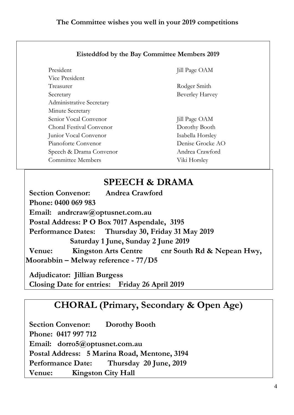|  | <b>Eisteddfod by the Bay Committee Members 2019</b> |
|--|-----------------------------------------------------|
|--|-----------------------------------------------------|

| President                       | <b>Jill Page OAM</b>   |
|---------------------------------|------------------------|
| Vice President                  |                        |
| Treasurer                       | Rodger Smith           |
| Secretary                       | <b>Beverley Harvey</b> |
| <b>Administrative Secretary</b> |                        |
| Minute Secretary                |                        |
| Senior Vocal Convenor           | <b>Jill Page OAM</b>   |
| Choral Festival Convenor        | Dorothy Booth          |
| Junior Vocal Convenor           | Isabella Horsley       |
| Pianoforte Convenor             | Denise Grocke AO       |
| Speech & Drama Convenor         | Andrea Crawford        |
| <b>Committee Members</b>        | Viki Horsley           |

## **SPEECH & DRAMA**

 **Section Convenor: Andrea Crawford Phone: 0400 069 983 Email: andrcraw@optusnet.com.au Postal Address: P O Box 7017 Aspendale, 3195 Performance Dates: Thursday 30, Friday 31 May 2019 Saturday 1 June, Sunday 2 June 2019**  Venue: Kingston Arts Centre cnr South Rd & Nepean Hwy, **Moorabbin – Melway reference - 77/D5** 

 **Adjudicator: Jillian Burgess Closing Date for entries: Friday 26 April 2019** 

## **CHORAL (Primary, Secondary & Open Age)**

 **Section Convenor: Dorothy Booth Phone: 0417 997 712 Email: dorro5@optusnet.com.au Postal Address: 5 Marina Road, Mentone, 3194 Performance Date: Thursday 20 June, 2019 Venue: Kingston City Hall**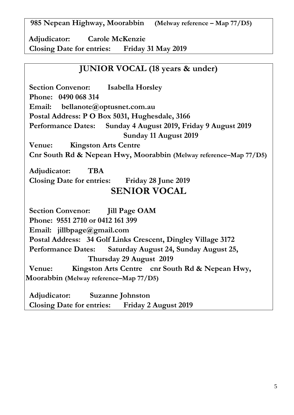**985 Nepean Highway, Moorabbin (Melway reference – Map 77/D5)** 

 **Adjudicator: Carole McKenzie Closing Date for entries: Friday 31 May 2019** 

## **JUNIOR VOCAL (18 years & under)**

 **Section Convenor: Isabella Horsley Phone: 0490 068 314 Email: bellanote@optusnet.com.au Postal Address: P O Box 5031, Hughesdale, 3166 Performance Dates: Sunday 4 August 2019, Friday 9 August 2019 Sunday 11 August 2019 Venue: Kingston Arts Centre Cnr South Rd & Nepean Hwy, Moorabbin (Melway reference–Map 77/D5) Adjudicator: TBA Closing Date for entries: Friday 28 June 2019 SENIOR VOCAL Section Convenor: Jill Page OAM Phone: 9551 2710 or 0412 161 399 Email: jillbpage@gmail.com Postal Address: 34 Golf Links Crescent, Dingley Village 3172 Performance Dates: Saturday August 24, Sunday August 25, Thursday 29 August 2019 Venue: Kingston Arts Centre cnr South Rd & Nepean Hwy, Moorabbin (Melway reference–Map 77/D5) Adjudicator: Suzanne Johnston Closing Date for entries: Friday 2 August 2019**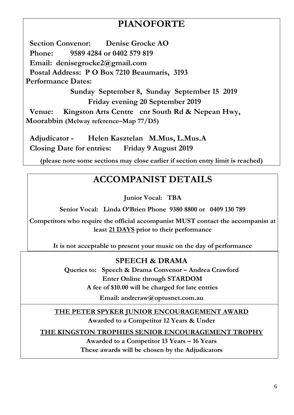## **PIANOFORTE**

 **Section Convenor: Denise Grocke AO Phone: 9589 4284 or 0402 579 819 Email: denisegrocke2@gmail.com Postal Address: P O Box 7210 Beaumaris, 3193 Performance Dates: Sunday September 8, Sunday September 15 2019 Friday evening 20 September 2019 Venue: Kingston Arts Centre cnr South Rd & Nepean Hwy, Moorabbin (Melway reference–Map 77/D5)**

 **Adjudicator - Helen Kasztelan M.Mus, L.Mus.A Closing Date for entries: Friday 9 August 2019** 

**(please note some sections may close earlier if section entry limit is reached)**

## **ACCOMPANIST DETAILS**

**Junior Vocal: TBA**

**Senior Vocal: Linda O'Brien Phone 9380 8800 or 0409 130 789** 

**Competitors who require the official accompanist MUST contact the accompanist at least 21 DAYS prior to their performance** 

**It is not acceptable to present your music on the day of performance** 

## **SPEECH & DRAMA**

Queries to: Speech & Drama Convenor – Andrea Crawford **Enter Online through STARDOM A fee of \$10.00 will be charged for late entries** 

**Email: andrcraw@optusnet.com.au**

**THE PETER SPYKER JUNIOR ENCOURAGEMENT AWARD Awarded to a Competitor 12 Years & Under** 

**THE KINGSTON TROPHIES SENIOR ENCOURAGEMENT TROPHY** 

**Awarded to a Competitor 13 Years – 16 Years These awards will be chosen by the Adjudicators**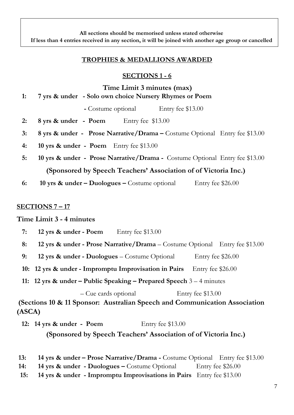**All sections should be memorised unless stated otherwise If less than 4 entries received in any section, it will be joined with another age group or cancelled** 

#### **TROPHIES & MEDALLIONS AWARDED**

#### **SECTIONS 1 - 6**

**Time Limit 3 minutes (max)** 

 **1: 7 yrs & under - Solo own choice Nursery Rhymes or Poem**

 **-** Costume optional Entry fee \$13.00

- **2: 8 yrs & under Poem** Entry fee \$13.00
- **3: 8 yrs & under - Prose Narrative/Drama –** Costume Optional Entry fee \$13.00
- **4: 10 yrs & under Poem** Entry fee \$13.00
- **5: 10 yrs & under Prose Narrative/Drama -** Costume Optional Entry fee \$13.00 **(Sponsored by Speech Teachers' Association of of Victoria Inc.)**
- **6: 10 yrs & under – Duologues –** Costume optional Entry fee \$26.00

#### **SECTIONS 7 – 17**

**Time Limit 3 - 4 minutes** 

- **7: 12 yrs & under - Poem** Entry fee \$13.00
- **8: 12 yrs & under - Prose Narrative/Drama** Costume Optional Entry fee \$13.00
- **9: 12 yrs & under - Duologues** Costume Optional Entry fee \$26.00
- **10: 12 yrs & under - Impromptu Improvisation in Pairs** Entry fee \$26.00
- **11: 12 yrs & under – Public Speaking – Prepared Speech** 3 4 minutes

 – Cue cards optional Entry fee \$13.00 **(Sections 10 & 11 Sponsor: Australian Speech and Communication Association (ASCA)** 

**12: 14 yrs & under - Poem** Entry fee \$13.00

**(Sponsored by Speech Teachers' Association of of Victoria Inc.)**

- **13:** 14 yrs & under Prose Narrative/Drama Costume Optional Entry fee \$13.00
- **14: 14 yrs & under - Duologues –** Costume Optional Entry fee \$26.00
- **15: 14 yrs & under - Impromptu Improvisations in Pairs** Entry fee \$13.00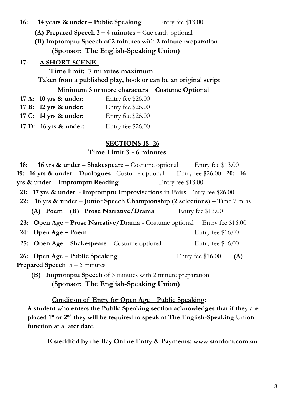#### **16:** 14 years & under – Public Speaking Entry fee \$13.00

- **(A) Prepared Speech 3 – 4 minutes –** Cue cards optional
- **(B) Impromptu Speech of 2 minutes with 2 minute preparation (Sponsor: The English-Speaking Union)**

#### **17: A SHORT SCENE**

**Time limit: 7 minutes maximum Taken from a published play, book or can be an original script**

#### **Minimum 3 or more characters – Costume Optional**

| 17 A: 10 yrs & under: | Entry fee \$26.00 |
|-----------------------|-------------------|
| 17 B: 12 yrs & under: | Entry fee \$26.00 |
| 17 C: 14 yrs & under: | Entry fee \$26.00 |
| 17 D: 16 yrs & under: | Entry fee \$26.00 |

### **SECTIONS 18- 26**

### **Time Limit 3 - 6 minutes**

 **18: 16 yrs & under** – **Shakespeare** – Costume optional Entry fee \$13.00 **19: 16 yrs & under** – **Duologues** - Costume optional Entry fee \$26.00 **20: 16 yrs & under** – **Impromptu Reading** Entry fee \$13.00 **21: 17 yrs & under - Impromptu Improvisations in Pairs** Entry fee \$26.00  **22: 16 yrs & under** – **Junior Speech Championship (2 selections) –** Time 7 mins **(A) Poem (B) Prose Narrative/Drama** Entry fee \$13.00 **23: Open Age – Prose Narrative/Drama** - Costume optional Entry fee \$16.00 **24:** Open Age – Poem **Entry fee \$16.00 25: Open Age – Shakespeare** – Costume optional Entry fee \$16.00 **26:** Open Age – Public Speaking Entry fee \$16.00 (A) **Prepared Speech** 5 – 6 minutes

**(B) Impromptu Speech** of 3 minutes with 2 minute preparation **(Sponsor: The English-Speaking Union)** 

**Condition of Entry for Open Age – Public Speaking:** 

**A student who enters the Public Speaking section acknowledges that if they are placed 1st or 2nd they will be required to speak at The English-Speaking Union function at a later date.** 

**Eisteddfod by the Bay Online Entry & Payments: www.stardom.com.au**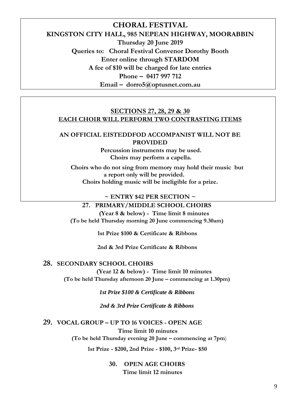## **CHORAL FESTIVAL KINGSTON CITY HALL, 985 NEPEAN HIGHWAY, MOORABBIN Thursday 20 June 2019 Queries to: Choral Festival Convenor Dorothy Booth Enter online through STARDOM A fee of \$10 will be charged for late entries Phone – 0417 997 712 Email – dorro5@optusnet.com.au**

#### **SECTIONS 27, 28, 29 & 30 EACH CHOIR WILL PERFORM TWO CONTRASTING ITEMS**

#### **AN OFFICIAL EISTEDDFOD ACCOMPANIST WILL NOT BE PROVIDED**

**Percussion instruments may be used. Choirs may perform a capella.** 

**Choirs who do not sing from memory may hold their music but a report only will be provided. Choirs holding music will be ineligible for a prize.** 

#### **~ ENTRY \$42 PER SECTION ~**

#### **27. PRIMARY/MIDDLE SCHOOL CHOIRS**

 **(Year 8 & below) - Time limit 8 minutes (To be held Thursday morning 20 June commencing 9.30am)** 

**1st Prize \$100 & Certificate & Ribbons** 

**2nd & 3rd Prize Certificate & Ribbons**

#### **28. SECONDARY SCHOOL CHOIRS**

 **(Year 12 & below) - Time limit 10 minutes (To be held Thursday afternoon 20 June – commencing at 1.30pm)** 

*1st Prize \$100 & Certificate & Ribbons* 

*2nd & 3rd Prize Certificate & Ribbons* 

#### **29. VOCAL GROUP – UP TO 16 VOICES - OPEN AGE**

**Time limit 10 minutes** 

 **(To be held Thursday evening 20 June – commencing at 7pm**)

**1st Prize - \$200, 2nd Prize - \$100, 3rd Prize- \$50** 

**30. OPEN AGE CHOIRS Time limit 12 minutes**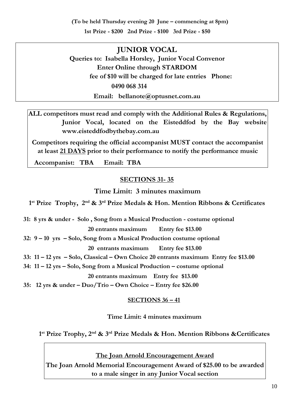**(To be held Thursday evening 20 June – commencing at 8pm)** 

**1st Prize - \$200 2nd Prize - \$100 3rd Prize - \$50** 

## **JUNIOR VOCAL**

**Queries to: Isabella Horsley, Junior Vocal Convenor Enter Online through STARDOM fee of \$10 will be charged for late entries Phone: 0490 068 314 Email: bellanote@optusnet.com.au** 

**ALL competitors must read and comply with the Additional Rules & Regulations, Junior Vocal, located on the Eisteddfod by the Bay website [www.eisteddfodbythebay.com.au](http://www.eisteddfodbythebay.com.au/)**

**Competitors requiring the official accompanist MUST contact the accompanist at least 21 DAYS prior to their performance to notify the performance music** 

**Accompanist: TBA Email: TBA**

#### **SECTIONS 31- 35**

**Time Limit: 3 minutes maximum** 

**1 st Prize Trophy, 2nd & 3rd Prize Medals & Hon. Mention Ribbons & Certificates** 

**31: 8 yrs & under - Solo , Song from a Musical Production - costume optional** 

**20 entrants maximum Entry fee \$13.00** 

**32: 9 – 10 yrs – Solo, Song from a Musical Production costume optional** 

**20 entrants maximum Entry fee \$13.00** 

**33: 11 – 12 yrs – Solo, Classical – Own Choice 20 entrants maximum Entry fee \$13.00** 

**34: 11 – 12 yrs – Solo, Song from a Musical Production – costume optional** 

**20 entrants maximum Entry fee \$13.00** 

**35: 12 yrs & under – Duo/Trio – Own Choice – Entry fee \$26.00** 

#### **SECTIONS 36 – 41**

**Time Limit: 4 minutes maximum** 

**1 st Prize Trophy, 2nd & 3rd Prize Medals & Hon. Mention Ribbons &Certificates** 

**The Joan Arnold Encouragement Award The Joan Arnold Memorial Encouragement Award of \$25.00 to be awarded to a male singer in any Junior Vocal section**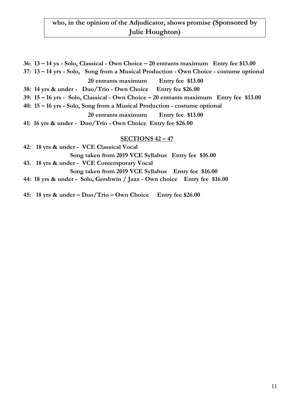### **who, in the opinion of the Adjudicator, shows promise (Sponsored by Julie Houghton)**

**36: 13 – 14 ys - Solo, Classical - Own Choice – 20 entrants maximum Entry fee \$13.00 37: 13 – 14 yrs - Solo, Song from a Musical Production - Own Choice - costume optional 20 entrants maximum Entry fee \$13.00 38: 14 yrs & under - Duo/Trio - Own Choice Entry fee \$26.00 39: 15 – 16 yrs - Solo, Classical - Own Choice – 20 entrants maximum Entry fee \$13.00 40: 15 – 16 yrs - Solo, Song from a Musical Production - costume optional 20 entrants maximum Entry fee \$13.00 41: 16 yrs & under - Duo/Trio - Own Choice Entry fee \$26.00** 

#### **SECTIONS 42 – 47**

| 42: 18 yrs & under - VCE Classical Vocal                                  |
|---------------------------------------------------------------------------|
| Song taken from 2019 VCE Syllabus Entry fee \$16.00                       |
| 43. 18 yrs & under - VCE Contemporary Vocal                               |
| Song taken from 2019 VCE Syllabus Entry fee \$16.00                       |
| 44: 18 yrs & under - Solo, Gershwin / Jazz - Own choice Entry fee \$16.00 |

**45: 18 yrs & under – Duo/Trio – Own Choice Entry fee \$26.00**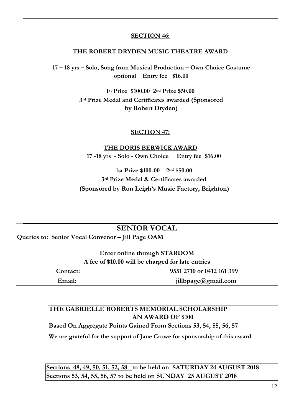#### **SECTION 46:**

#### **THE ROBERT DRYDEN MUSIC THEATRE AWARD**

**17 – 18 yrs – Solo, Song from Musical Production – Own Choice Costume optional Entry fee \$16.00** 

> **1 st Prize \$100.00 2nd Prize \$50.00 3rd Prize Medal and Certificates awarded (Sponsored by Robert Dryden)**

#### **SECTION 47:**

**THE DORIS BERWICK AWARD 17 -18 yrs - Solo - Own Choice Entry fee \$16.00** 

**1st Prize \$100-00 2nd \$50.00 3rd Prize Medal & Certificates awarded (Sponsored by Ron Leigh's Music Factory, Brighton)** 

#### **SENIOR VOCAL**

**Queries to: Senior Vocal Convenor – Jill Page OAM** 

**Enter online through STARDOM A fee of \$10.00 will be charged for late entries** 

**Contact: 9551 2710 or 0412 161 399** 

**Email: jillbpage@gmail.com** 

#### **THE GABRIELLE ROBERTS MEMORIAL SCHOLARSHIP AN AWARD OF \$100**

**Based On Aggregate Points Gained From Sections 53, 54, 55, 56, 57** 

**We are grateful for the support of Jane Crowe for sponsorship of this award** 

**Sections 48, 49, 50, 51, 52, 58 to be held on SATURDAY 24 AUGUST 2018 Sections 53, 54, 55, 56, 57 to be held on SUNDAY 25 AUGUST 2018**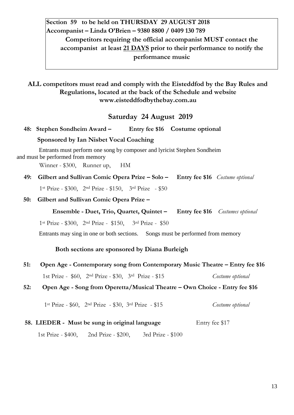## **Section 59 to be held on THURSDAY 29 AUGUST 2018 Accompanist – Linda O'Brien – 9380 8800 / 0409 130 789 Competitors requiring the official accompanist MUST contact the accompanist at least 21 DAYS prior to their performance to notify the performance music**

#### **ALL competitors must read and comply with the Eisteddfod by the Bay Rules and Regulations, located at the back of the Schedule and website [www.eisteddfodbythebay.com.au](http://www.eisteddfodbythebay.com.au/)**

### **Saturday 24 August 2019**

#### **48: Stephen Sondheim Award – Entry fee \$16 Costume optional**

#### **Sponsored by Ian Nisbet Vocal Coaching**

Entrants must perform one song by composer and lyricist Stephen Sondheim and must be performed from memory

Winner - \$300, Runner up, HM

**49: Gilbert and Sullivan Comic Opera Prize – Solo – Entry fee \$16** *Costume optional*

1st Prize - \$300, 2nd Prize - \$150, 3rd Prize - \$50

#### **50: Gilbert and Sullivan Comic Opera Prize –**

**Ensemble - Duet, Trio, Quartet, Quintet – Entry fee \$16** *Costumes optional*

1st Prize - \$300, 2nd Prize - \$150, 3rd Prize - \$50

Entrants may sing in one or both sections. Songs must be performed from memory

#### **Both sections are sponsored by Diana Burleigh**

**51:** Open Age - Contemporary song from Contemporary Music Theatre – Entry fee \$16 1st Prize - \$60, 2nd Prize - \$30, 3rd Prize - \$15 *Costume optional*

#### **52: Open Age - Song from Operetta/Musical Theatre – Own Choice - Entry fee \$16**

1st Prize - \$60, 2nd Prize - \$30, 3rd Prize - \$15 *Costume optional* 

#### **58. LIEDER - Must be sung in original language Entry fee \$17**

1st Prize - \$400, 2nd Prize - \$200, 3rd Prize - \$100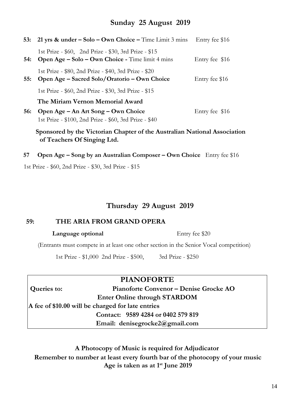### **Sunday 25 August 2019**

|            | 53: 21 yrs & under $-$ Solo $-$ Own Choice $-$ Time Limit 3 mins                                             | Entry fee \$16 |
|------------|--------------------------------------------------------------------------------------------------------------|----------------|
|            | 1st Prize - \$60, 2nd Prize - \$30, 3rd Prize - \$15<br>54: Open Age – Solo – Own Choice - Time limit 4 mins | Entry fee \$16 |
| 55:        | 1st Prize - \$80, 2nd Prize - \$40, 3rd Prize - \$20<br>Open Age – Sacred Solo/Oratorio – Own Choice         | Entry fee \$16 |
|            | 1st Prize - \$60, 2nd Prize - \$30, 3rd Prize - \$15                                                         |                |
|            | The Miriam Vernon Memorial Award                                                                             |                |
| <b>56:</b> | Open Age – An Art Song – Own Choice<br>1st Prize - \$100, 2nd Prize - \$60, 3rd Prize - \$40                 | Entry fee \$16 |

 **Sponsored by the Victorian Chapter of the Australian National Association of Teachers Of Singing Ltd.** 

**57 Open Age – Song by an Australian Composer – Own Choice** Entry fee \$16

1st Prize - \$60, 2nd Prize - \$30, 3rd Prize - \$15

#### **Thursday 29 August 2019**

#### **59: THE ARIA FROM GRAND OPERA**

#### **Language optional** Entry fee \$20

(Entrants must compete in at least one other section in the Senior Vocal competition)

1st Prize - \$1,000 2nd Prize - \$500, 3rd Prize - \$250

### **PIANOFORTE**

**Queries to: Pianoforte Convenor – Denise Grocke AO Enter Online through STARDOM A fee of \$10.00 will be charged for late entries Contact: 9589 4284 or 0402 579 819 Email: denisegrocke2@gmail.com** 

## **A Photocopy of Music is required for Adjudicator Remember to number at least every fourth bar of the photocopy of your music Age is taken as at 1st June 2019**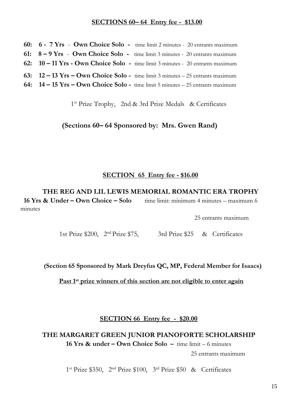#### **SECTIONS 60– 64 Entry fee - \$13.00**

**60: 6 - 7 Yrs** - **Own Choice Solo -** time limit 2 minutes - 20 entrants maximum **61: 8 – 9 Yrs** - **Own Choice Solo -** time limit 3 minutes - 20 entrants maximum **62: 10 – 11 Yrs - Own Choice Solo -** time limit 3 minutes - 20 entrants maximum **63: 12 – 13 Yrs – Own Choice Solo -** time limit 3 minutes – 25 entrants maximum **64: 14 – 15 Yrs – Own Choice Solo -** time limit 5 minutes – 25 entrants maximum

1 st Prize Trophy, 2nd & 3rd Prize Medals & Certificates

#### **(Sections 60– 64 Sponsored by: Mrs. Gwen Rand)**

#### **SECTION 65 Entry fee - \$16.00**

 **THE REG AND LIL LEWIS MEMORIAL ROMANTIC ERA TROPHY 16 Yrs & Under – Own Choice – Solo** time limit: minimum 4 minutes – maximum 6 minutes

25 entrants maximum

1st Prize \$200, 2nd Prize \$75, 3rd Prize \$25 & Certificates

**(Section 65 Sponsored by Mark Dreyfus QC, MP, Federal Member for Isaacs)** 

**Past 1st prize winners of this section are not eligible to enter again** 

**SECTION 66 Entry fee - \$20.00**

## **THE MARGARET GREEN JUNIOR PIANOFORTE SCHOLARSHIP**

**16 Yrs & under – Own Choice Solo –** time limit – 6 minutes

25 entrants maximum

1 st Prize \$350, 2nd Prize \$100, 3rd Prize \$50 & Certificates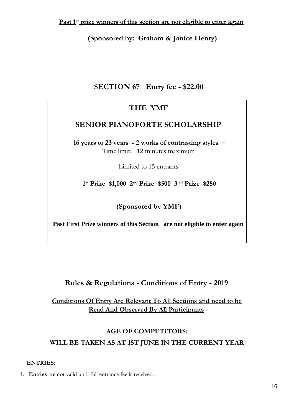**(Sponsored by: Graham & Janice Henry)** 

## **SECTION 67 Entry fee - \$22.00**

## **THE YMF**

## **SENIOR PIANOFORTE SCHOLARSHIP**

**16 years to 23 years - 2 works of contrasting styles –**  Time limit: 12 minutes maximum

Limited to 15 entrants

**1 st Prize \$1,000 2nd Prize \$500 3 rd Prize \$250** 

**(Sponsored by YMF)** 

**Past First Prize winners of this Section are not eligible to enter again** 

## **Rules & Regulations - Conditions of Entry - 2019**

**Conditions Of Entry Are Relevant To All Sections and need to be Read And Observed By All Participants**

### **AGE OF COMPETITORS:**

**WILL BE TAKEN AS AT 1ST JUNE IN THE CURRENT YEAR** 

#### **ENTRIES**:

1. **Entries** are not valid until full entrance fee is received.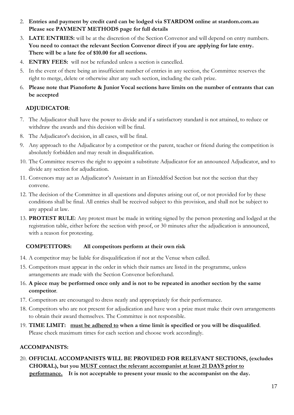- 2. **Entries and payment by credit card can be lodged via STARDOM online at stardom.com.au Please see PAYMENT METHODS page for full details**
- 3. **LATE ENTRIES:** will be at the discretion of the Section Convenor and will depend on entry numbers. **You need to contact the relevant Section Convenor direct if you are applying for late entry. There will be a late fee of \$10.00 for all sections.**
- 4. **ENTRY FEES:** will not be refunded unless a section is cancelled.
- 5. In the event of there being an insufficient number of entries in any section, the Committee reserves the right to merge, delete or otherwise alter any such section, including the cash prize.
- 6. **Please note that Pianoforte & Junior Vocal sections have limits on the number of entrants that can be accepted**

#### **ADJUDICATOR**:

- 7. The Adjudicator shall have the power to divide and if a satisfactory standard is not attained, to reduce or withdraw the awards and this decision will be final.
- 8. The Adjudicator's decision, in all cases, will be final.
- 9. Any approach to the Adjudicator by a competitor or the parent, teacher or friend during the competition is absolutely forbidden and may result in disqualification.
- 10. The Committee reserves the right to appoint a substitute Adjudicator for an announced Adjudicator, and to divide any section for adjudication.
- 11. Convenors may act as Adjudicator's Assistant in an Eisteddfod Section but not the section that they convene.
- 12. The decision of the Committee in all questions and disputes arising out of, or not provided for by these conditions shall be final. All entries shall be received subject to this provision, and shall not be subject to any appeal at law.
- 13. **PROTEST RULE**: Any protest must be made in writing signed by the person protesting and lodged at the registration table, either before the section with proof, or 30 minutes after the adjudication is announced, with a reason for protesting.

#### **COMPETITORS: All competitors perform at their own risk**

- 14. A competitor may be liable for disqualification if not at the Venue when called.
- 15. Competitors must appear in the order in which their names are listed in the programme, unless arrangements are made with the Section Convenor beforehand.
- 16. **A piece may be performed once only and is not to be repeated in another section by the same competitor**.
- 17. Competitors are encouraged to dress neatly and appropriately for their performance.
- 18. Competitors who are not present for adjudication and have won a prize must make their own arrangements to obtain their award themselves. The Committee is not responsible.
- 19. **TIME LIMIT: must be adhered to when a time limit is specified or you will be disqualified**. Please check maximum times for each section and choose work accordingly.

#### **ACCOMPANISTS:**

20. **OFFICIAL ACCOMPANISTS WILL BE PROVIDED FOR RELEVANT SECTIONS, (excludes CHORAL), but you MUST contact the relevant accompanist at least 21 DAYS prior to performance. It is not acceptable to present your music to the accompanist on the day.**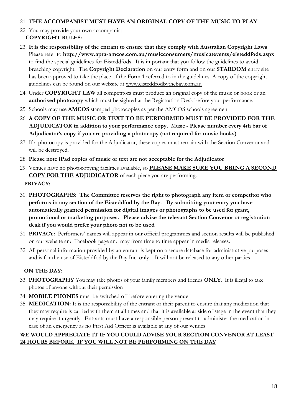#### 21. **THE ACCOMPANIST MUST HAVE AN ORIGINAL COPY OF THE MUSIC TO PLAY**

- 22. You may provide your own accompanist  **COPYRIGHT RULES:**
- 23. **It is the responsibility of the entrant to ensure that they comply with Australian Copyright Laws**. Please refer to **<http://www.apra-amcos.com.au/musicconsumers/musicatevents/eisteddfods.aspx>** to find the special guidelines for Eisteddfods. It is important that you follow the guidelines to avoid breaching copyright. The **Copyright Declaration** on our entry form and on our **STARDOM** entry site has been approved to take the place of the Form 1 referred to in the guidelines. A copy of the copyright guidelines can be found on our website at [www.eisteddfodbythebay.com.au](http://www.eisteddfodbythebay.com.au/)
- 24. Under **COPYRIGHT LAW** all competitors must produce an original copy of the music or book or an **authorised photocopy** which must be sighted at the Registration Desk before your performance.
- 25. Schools may use **AMCOS** stamped photocopies as per the AMCOS schools agreement
- 26. **A COPY OF THE MUSIC OR TEXT TO BE PERFORMED MUST BE PROVIDED FOR THE ADJUDICATOR in addition to your performance copy.** Music **- Please number every 4th bar of Adjudicator's copy if you are providing a photocopy (not required for music books)**
- 27. If a photocopy is provided for the Adjudicator, these copies must remain with the Section Convenor and will be destroyed.
- 28. **Please note iPad copies of music or text are not acceptable for the Adjudicator**
- 29. Venues have no photocopying facilities available, so **PLEASE MAKE SURE YOU BRING A SECOND COPY FOR THE ADJUDICATOR** of each piece you are performing.  **PRIVACY:**
- 30. **PHOTOGRAPHS: The Committee reserves the right to photograph any item or competitor who performs in any section of the Eisteddfod by the Bay. By submitting your entry you have automatically granted permission for digital images or photographs to be used for grant, promotional or marketing purposes. Please advise the relevant Section Convenor or registration desk if you would prefer your photo not to be used**
- 31. **PRIVACY:** Performers' names will appear in our official programmes and section results will be published on our website and Facebook page and may from time to time appear in media releases.
- 32. All personal information provided by an entrant is kept on a secure database for administrative purposes and is for the use of Eisteddfod by the Bay Inc. only. It will not be released to any other parties

#### **ON THE DAY:**

- 33. **PHOTOGRAPHY** You may take photos of your family members and friends **ONLY**. It is illegal to take photos of anyone without their permission
- 34. **MOBILE PHONES** must be switched off before entering the venue
- 35. **MEDICATION:** It is the responsibility of the entrant or their parent to ensure that any medication that they may require is carried with them at all times and that it is available at side of stage in the event that they may require it urgently. Entrants must have a responsible person present to administer the medication in case of an emergency as no First Aid Officer is available at any of our venues

#### **WE WOULD APPRECIATE IT IF YOU COULD ADVISE YOUR SECTION CONVENOR AT LEAST 24 HOURS BEFORE, IF YOU WILL NOT BE PERFORMING ON THE DAY**